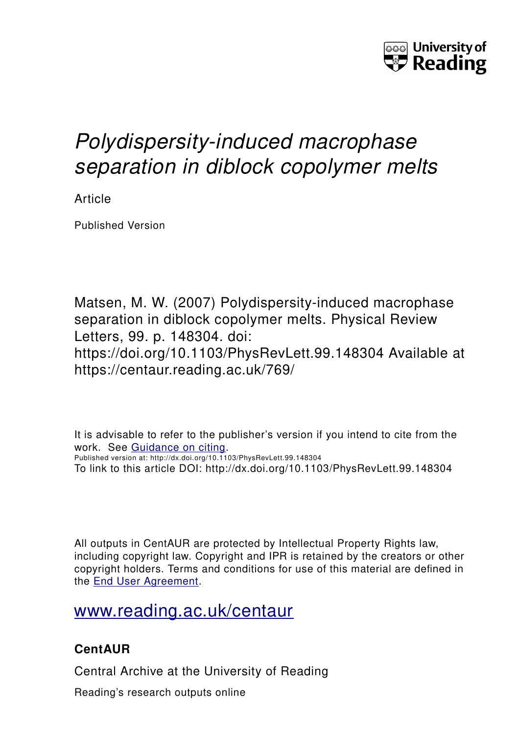

## *Polydispersity-induced macrophase separation in diblock copolymer melts*

Article

Published Version

Matsen, M. W. (2007) Polydispersity-induced macrophase separation in diblock copolymer melts. Physical Review Letters, 99. p. 148304. doi: https://doi.org/10.1103/PhysRevLett.99.148304 Available at https://centaur.reading.ac.uk/769/

It is advisable to refer to the publisher's version if you intend to cite from the work. See [Guidance on citing.](http://centaur.reading.ac.uk/71187/10/CentAUR%20citing%20guide.pdf) Published version at: http://dx.doi.org/10.1103/PhysRevLett.99.148304 To link to this article DOI: http://dx.doi.org/10.1103/PhysRevLett.99.148304

All outputs in CentAUR are protected by Intellectual Property Rights law, including copyright law. Copyright and IPR is retained by the creators or other copyright holders. Terms and conditions for use of this material are defined in the [End User Agreement.](http://centaur.reading.ac.uk/licence)

[www.reading.ac.uk/centaur](http://www.reading.ac.uk/centaur)

## **CentAUR**

Central Archive at the University of Reading

Reading's research outputs online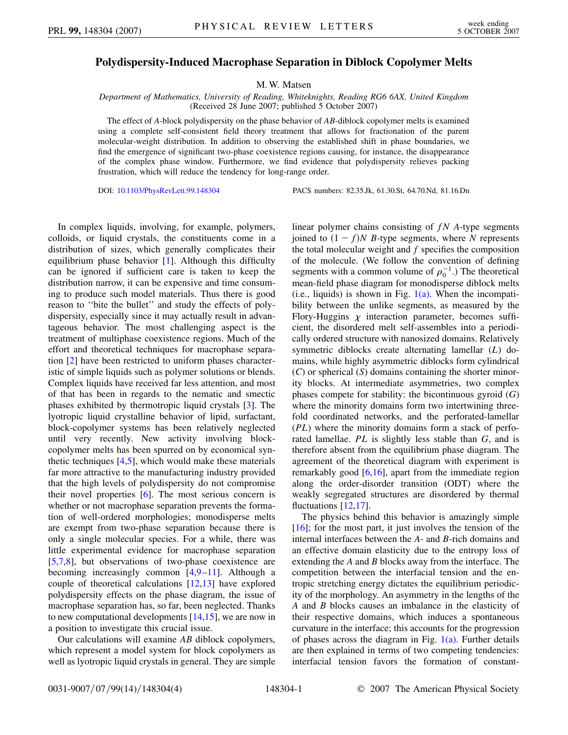## **Polydispersity-Induced Macrophase Separation in Diblock Copolymer Melts**

M. W. Matsen

*Department of Mathematics, University of Reading, Whiteknights, Reading RG6 6AX, United Kingdom* (Received 28 June 2007; published 5 October 2007)

The effect of *A*-block polydispersity on the phase behavior of *AB*-diblock copolymer melts is examined using a complete self-consistent field theory treatment that allows for fractionation of the parent molecular-weight distribution. In addition to observing the established shift in phase boundaries, we find the emergence of significant two-phase coexistence regions causing, for instance, the disappearance of the complex phase window. Furthermore, we find evidence that polydispersity relieves packing frustration, which will reduce the tendency for long-range order.

DOI: [10.1103/PhysRevLett.99.148304](http://dx.doi.org/10.1103/PhysRevLett.99.148304) PACS numbers: 82.35.Jk, 61.30.St, 64.70.Nd, 81.16.Dn

In complex liquids, involving, for example, polymers, colloids, or liquid crystals, the constituents come in a distribution of sizes, which generally complicates their equilibrium phase behavior [[1\]](#page-4-0). Although this difficulty can be ignored if sufficient care is taken to keep the distribution narrow, it can be expensive and time consuming to produce such model materials. Thus there is good reason to ''bite the bullet'' and study the effects of polydispersity, especially since it may actually result in advantageous behavior. The most challenging aspect is the treatment of multiphase coexistence regions. Much of the effort and theoretical techniques for macrophase separation [\[2](#page-4-1)] have been restricted to uniform phases characteristic of simple liquids such as polymer solutions or blends. Complex liquids have received far less attention, and most of that has been in regards to the nematic and smectic phases exhibited by thermotropic liquid crystals [[3\]](#page-4-2). The lyotropic liquid crystalline behavior of lipid, surfactant, block-copolymer systems has been relatively neglected until very recently. New activity involving blockcopolymer melts has been spurred on by economical synthetic techniques  $[4,5]$  $[4,5]$  $[4,5]$ , which would make these materials far more attractive to the manufacturing industry provided that the high levels of polydispersity do not compromise their novel properties [[6\]](#page-4-5). The most serious concern is whether or not macrophase separation prevents the formation of well-ordered morphologies; monodisperse melts are exempt from two-phase separation because there is only a single molecular species. For a while, there was little experimental evidence for macrophase separation [\[5,](#page-4-4)[7](#page-4-6)[,8](#page-4-7)], but observations of two-phase coexistence are becoming increasingly common [\[4](#page-4-3),[9](#page-4-8)[–11\]](#page-4-9). Although a couple of theoretical calculations [[12](#page-4-10),[13](#page-4-11)] have explored polydispersity effects on the phase diagram, the issue of macrophase separation has, so far, been neglected. Thanks to new computational developments [[14](#page-4-12),[15](#page-4-13)], we are now in a position to investigate this crucial issue.

Our calculations will examine *AB* diblock copolymers, which represent a model system for block copolymers as well as lyotropic liquid crystals in general. They are simple linear polymer chains consisting of *fN A*-type segments joined to  $(1 - f)$ *N B*-type segments, where *N* represents the total molecular weight and *f* specifies the composition of the molecule. (We follow the convention of defining segments with a common volume of  $\rho_0^{-1}$ .) The theoretical mean-field phase diagram for monodisperse diblock melts  $(i.e.,$  liquids) is shown in Fig.  $1(a)$ . When the incompatibility between the unlike segments, as measured by the Flory-Huggins  $\chi$  interaction parameter, becomes sufficient, the disordered melt self-assembles into a periodically ordered structure with nanosized domains. Relatively symmetric diblocks create alternating lamellar (*L*) domains, while highly asymmetric diblocks form cylindrical (*C*) or spherical (*S*) domains containing the shorter minority blocks. At intermediate asymmetries, two complex phases compete for stability: the bicontinuous gyroid (*G*) where the minority domains form two intertwining threefold coordinated networks, and the perforated-lamellar (*PL*) where the minority domains form a stack of perforated lamellae. *PL* is slightly less stable than *G*, and is therefore absent from the equilibrium phase diagram. The agreement of the theoretical diagram with experiment is remarkably good [[6](#page-4-5),[16](#page-4-14)], apart from the immediate region along the order-disorder transition (ODT) where the weakly segregated structures are disordered by thermal fluctuations [\[12](#page-4-10)[,17\]](#page-4-15).

The physics behind this behavior is amazingly simple [\[16\]](#page-4-14); for the most part, it just involves the tension of the internal interfaces between the *A*- and *B*-rich domains and an effective domain elasticity due to the entropy loss of extending the *A* and *B* blocks away from the interface. The competition between the interfacial tension and the entropic stretching energy dictates the equilibrium periodicity of the morphology. An asymmetry in the lengths of the *A* and *B* blocks causes an imbalance in the elasticity of their respective domains, which induces a spontaneous curvature in the interface; this accounts for the progression of phases across the diagram in Fig.  $1(a)$ . Further details are then explained in terms of two competing tendencies: interfacial tension favors the formation of constant-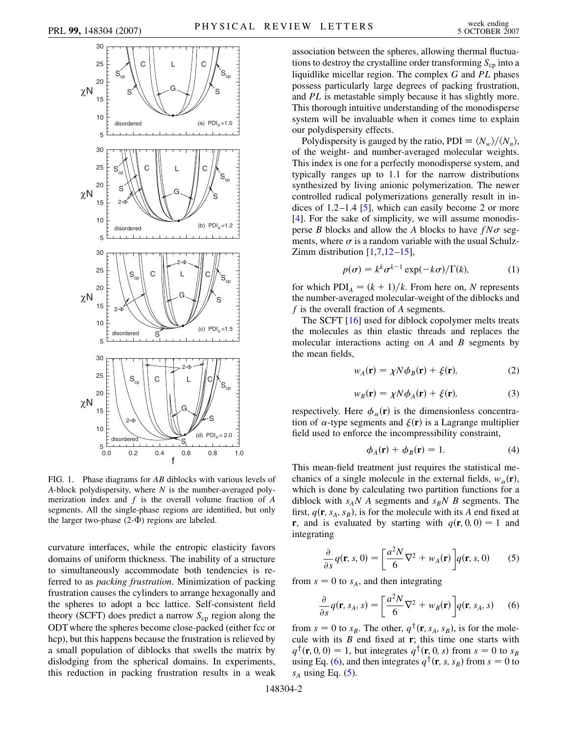

<span id="page-2-5"></span>

<span id="page-2-0"></span>FIG. 1. Phase diagrams for *AB* diblocks with various levels of *A*-block polydispersity, where *N* is the number-averaged polymerization index and *f* is the overall volume fraction of *A* segments. All the single-phase regions are identified, but only the larger two-phase  $(2-\Phi)$  regions are labeled.

curvature interfaces, while the entropic elasticity favors domains of uniform thickness. The inability of a structure to simultaneously accommodate both tendencies is referred to as *packing frustration*. Minimization of packing frustration causes the cylinders to arrange hexagonally and the spheres to adopt a bcc lattice. Self-consistent field theory (SCFT) does predict a narrow  $S_{cp}$  region along the ODT where the spheres become close-packed (either fcc or hcp), but this happens because the frustration is relieved by a small population of diblocks that swells the matrix by dislodging from the spherical domains. In experiments, this reduction in packing frustration results in a weak

Polydispersity is gauged by the ratio, PDI  $\equiv \langle N_w \rangle / \langle N_n \rangle$ , of the weight- and number-averaged molecular weights. This index is one for a perfectly monodisperse system, and typically ranges up to 1.1 for the narrow distributions synthesized by living anionic polymerization. The newer controlled radical polymerizations generally result in indices of  $1.2-1.4$  [[5\]](#page-4-4), which can easily become 2 or more [\[4\]](#page-4-3). For the sake of simplicity, we will assume monodisperse *B* blocks and allow the *A* blocks to have  $fN\sigma$  segments, where  $\sigma$  is a random variable with the usual Schulz-Zimm distribution  $[1,7,12-15]$  $[1,7,12-15]$  $[1,7,12-15]$  $[1,7,12-15]$  $[1,7,12-15]$  $[1,7,12-15]$ ,

$$
p(\sigma) = k^k \sigma^{k-1} \exp(-k\sigma) / \Gamma(k), \tag{1}
$$

for which  $PDI_A = (k + 1)/k$ . From here on, *N* represents the number-averaged molecular-weight of the diblocks and *f* is the overall fraction of *A* segments.

The SCFT [[16](#page-4-14)] used for diblock copolymer melts treats the molecules as thin elastic threads and replaces the molecular interactions acting on *A* and *B* segments by the mean fields,

$$
w_A(\mathbf{r}) = \chi N \phi_B(\mathbf{r}) + \xi(\mathbf{r}),\tag{2}
$$

$$
w_B(\mathbf{r}) = \chi N \phi_A(\mathbf{r}) + \xi(\mathbf{r}), \tag{3}
$$

<span id="page-2-4"></span><span id="page-2-3"></span>respectively. Here  $\phi_{\alpha}(\mathbf{r})$  is the dimensionless concentration of  $\alpha$ -type segments and  $\xi(\mathbf{r})$  is a Lagrange multiplier field used to enforce the incompressibility constraint,

$$
\phi_A(\mathbf{r}) + \phi_B(\mathbf{r}) = 1. \tag{4}
$$

This mean-field treatment just requires the statistical mechanics of a single molecule in the external fields,  $w_\alpha(\mathbf{r})$ , which is done by calculating two partition functions for a diblock with  $s_A N$  A segments and  $s_B N$  B segments. The first,  $q(\mathbf{r}, s_A, s_B)$ , is for the molecule with its *A* end fixed at **r**, and is evaluated by starting with  $q(\mathbf{r}, 0, 0) = 1$  and integrating

<span id="page-2-2"></span>
$$
\frac{\partial}{\partial s}q(\mathbf{r}, s, 0) = \left[\frac{a^2 N}{6} \nabla^2 + w_A(\mathbf{r})\right] q(\mathbf{r}, s, 0) \tag{5}
$$

<span id="page-2-1"></span>from  $s = 0$  to  $s_A$ , and then integrating

$$
\frac{\partial}{\partial s}q(\mathbf{r}, s_A, s) = \left[\frac{a^2 N}{6} \nabla^2 + w_B(\mathbf{r})\right] q(\mathbf{r}, s_A, s) \quad (6)
$$

from  $s = 0$  to  $s_B$ . The other,  $q^{\dagger}$ (**r**,  $s_A$ ,  $s_B$ ), is for the molecule with its *B* end fixed at **r**; this time one starts with  $q^{\dagger}$ (**r**, 0, 0) = 1, but integrates  $q^{\dagger}$ (**r**, 0, *s*) from  $s = 0$  to  $s_B$ using Eq. [\(6](#page-2-1)), and then integrates  $q^{\dagger}(\mathbf{r}, s, s_B)$  from  $s = 0$  to  $s_A$  using Eq. [\(5](#page-2-2)).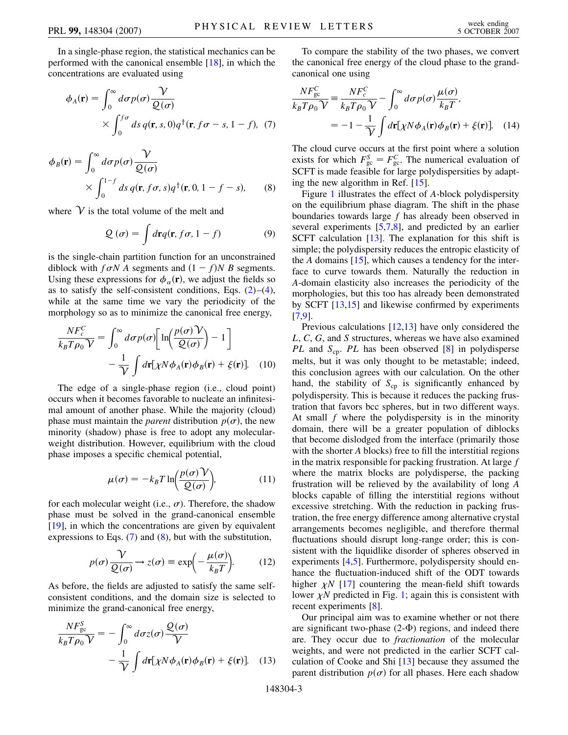In a single-phase region, the statistical mechanics can be performed with the canonical ensemble [\[18\]](#page-4-16), in which the concentrations are evaluated using

<span id="page-3-1"></span>
$$
\phi_A(\mathbf{r}) = \int_0^\infty d\sigma p(\sigma) \frac{\mathcal{V}}{\mathcal{Q}(\sigma)}
$$
  
 
$$
\times \int_0^{f\sigma} ds \, q(\mathbf{r}, s, 0) q^\dagger(\mathbf{r}, f\sigma - s, 1 - f), \tag{7}
$$

$$
\phi_B(\mathbf{r}) = \int_0^\infty d\sigma p(\sigma) \frac{\mathcal{V}}{\mathcal{Q}(\sigma)}
$$
  
 
$$
\times \int_0^{1-f} ds \, q(\mathbf{r}, f\sigma, s) q^\dagger(\mathbf{r}, 0, 1 - f - s), \qquad (8)
$$

<span id="page-3-0"></span>where  $\mathcal V$  is the total volume of the melt and

$$
Q(\sigma) = \int d\mathbf{r} q(\mathbf{r}, f\sigma, 1 - f) \tag{9}
$$

is the single-chain partition function for an unconstrained diblock with  $f \sigma N$  A segments and  $(1 - f)N$  B segments. Using these expressions for  $\phi_{\alpha}(\mathbf{r})$ , we adjust the fields so as to satisfy the self-consistent conditions, Eqs.  $(2)$ – $(4)$  $(4)$ , while at the same time we vary the periodicity of the morphology so as to minimize the canonical free energy,

$$
\frac{NF_c^C}{k_B T \rho_0 V} = \int_0^\infty d\sigma p(\sigma) \left[ \ln \left( \frac{p(\sigma) V}{Q(\sigma)} \right) - 1 \right] - \frac{1}{V} \int d\mathbf{r} \left[ \chi N \phi_A(\mathbf{r}) \phi_B(\mathbf{r}) + \xi(\mathbf{r}) \right]. \tag{10}
$$

The edge of a single-phase region (i.e., cloud point) occurs when it becomes favorable to nucleate an infinitesimal amount of another phase. While the majority (cloud) phase must maintain the *parent* distribution  $p(\sigma)$ , the new minority (shadow) phase is free to adopt any molecularweight distribution. However, equilibrium with the cloud phase imposes a specific chemical potential,

$$
\mu(\sigma) = -k_B T \ln \left( \frac{p(\sigma) \mathcal{V}}{\mathcal{Q}(\sigma)} \right),\tag{11}
$$

for each molecular weight (i.e.,  $\sigma$ ). Therefore, the shadow phase must be solved in the grand-canonical ensemble [\[19\]](#page-4-17), in which the concentrations are given by equivalent expressions to Eqs. ([7\)](#page-3-0) and [\(8](#page-3-1)), but with the substitution,

$$
p(\sigma) \frac{\gamma}{Q(\sigma)} \to z(\sigma) \equiv \exp\left(-\frac{\mu(\sigma)}{k_B T}\right).
$$
 (12)

As before, the fields are adjusted to satisfy the same selfconsistent conditions, and the domain size is selected to minimize the grand-canonical free energy,

$$
\frac{NF_{\text{gc}}^S}{k_B T \rho_0 V} = -\int_0^\infty d\sigma z(\sigma) \frac{\mathcal{Q}(\sigma)}{V} -\frac{1}{V} \int d\mathbf{r} [\chi N \phi_A(\mathbf{r}) \phi_B(\mathbf{r}) + \xi(\mathbf{r})]. \tag{13}
$$

To compare the stability of the two phases, we convert the canonical free energy of the cloud phase to the grandcanonical one using

$$
\frac{NF_{\text{gc}}^C}{k_B T \rho_0 V} = \frac{NF_c^C}{k_B T \rho_0 V} - \int_0^\infty d\sigma p(\sigma) \frac{\mu(\sigma)}{k_B T},
$$
  
= 
$$
-1 - \frac{1}{V} \int d\mathbf{r} [\chi N \phi_A(\mathbf{r}) \phi_B(\mathbf{r}) + \xi(\mathbf{r})]. \quad (14)
$$

The cloud curve occurs at the first point where a solution exists for which  $F_{gc}^S = F_{gc}^C$ . The numerical evaluation of SCFT is made feasible for large polydispersities by adapting the new algorithm in Ref. [[15](#page-4-13)].

Figure [1](#page-2-5) illustrates the effect of *A*-block polydispersity on the equilibrium phase diagram. The shift in the phase boundaries towards large *f* has already been observed in several experiments [\[5,](#page-4-4)[7](#page-4-6)[,8](#page-4-7)], and predicted by an earlier SCFT calculation [\[13\]](#page-4-11). The explanation for this shift is simple; the polydispersity reduces the entropic elasticity of the *A* domains [[15\]](#page-4-13), which causes a tendency for the interface to curve towards them. Naturally the reduction in *A*-domain elasticity also increases the periodicity of the morphologies, but this too has already been demonstrated by SCFT [\[13,](#page-4-11)[15\]](#page-4-13) and likewise confirmed by experiments [\[7,](#page-4-6)[9](#page-4-8)].

Previous calculations [\[12,](#page-4-10)[13](#page-4-11)] have only considered the *L*, *C*, *G*, and *S* structures, whereas we have also examined *PL* and *S*<sub>cp</sub>. *PL* has been observed [[8](#page-4-7)] in polydisperse melts, but it was only thought to be metastable; indeed, this conclusion agrees with our calculation. On the other hand, the stability of  $S_{cp}$  is significantly enhanced by polydispersity. This is because it reduces the packing frustration that favors bcc spheres, but in two different ways. At small *f* where the polydispersity is in the minority domain, there will be a greater population of diblocks that become dislodged from the interface (primarily those with the shorter *A* blocks) free to fill the interstitial regions in the matrix responsible for packing frustration. At large *f* where the matrix blocks are polydisperse, the packing frustration will be relieved by the availability of long *A* blocks capable of filling the interstitial regions without excessive stretching. With the reduction in packing frustration, the free energy difference among alternative crystal arrangements becomes negligible, and therefore thermal fluctuations should disrupt long-range order; this is consistent with the liquidlike disorder of spheres observed in experiments [[4,](#page-4-3)[5\]](#page-4-4). Furthermore, polydispersity should enhance the fluctuation-induced shift of the ODT towards higher  $\chi N$  [\[17\]](#page-4-15) countering the mean-field shift towards lower  $\chi N$  predicted in Fig. [1](#page-2-5); again this is consistent with recent experiments [\[8\]](#page-4-7).

Our principal aim was to examine whether or not there are significant two-phase  $(2-\Phi)$  regions, and indeed there are. They occur due to *fractionation* of the molecular weights, and were not predicted in the earlier SCFT calculation of Cooke and Shi [\[13\]](#page-4-11) because they assumed the parent distribution  $p(\sigma)$  for all phases. Here each shadow